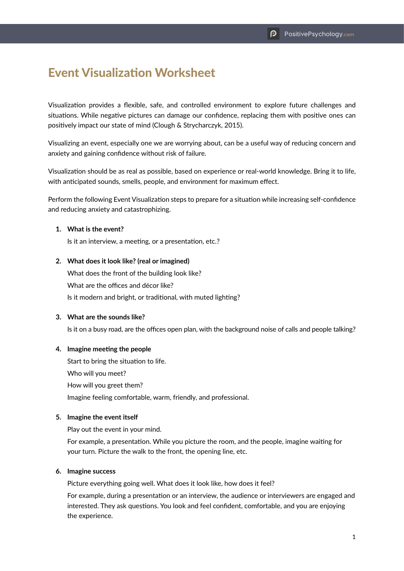# Event Visualization Worksheet

Visualization provides a flexible, safe, and controlled environment to explore future challenges and situations. While negative pictures can damage our confidence, replacing them with positive ones can positively impact our state of mind (Clough & Strycharczyk, 2015).

Visualizing an event, especially one we are worrying about, can be a useful way of reducing concern and anxiety and gaining confidence without risk of failure.

Visualization should be as real as possible, based on experience or real-world knowledge. Bring it to life, with anticipated sounds, smells, people, and environment for maximum effect.

Perform the following Event Visualization steps to prepare for a situation while increasing self-confidence and reducing anxiety and catastrophizing.

### **1. What is the event?**

Is it an interview, a meeting, or a presentation, etc.?

#### **2. What does it look like? (real or imagined)**

What does the front of the building look like? What are the offices and décor like? Is it modern and bright, or traditional, with muted lighting?

#### **3. What are the sounds like?**

Is it on a busy road, are the offices open plan, with the background noise of calls and people talking?

#### **4. Imagine meeting the people**

Start to bring the situation to life. Who will you meet? How will you greet them? Imagine feeling comfortable, warm, friendly, and professional.

#### **5. Imagine the event itself**

Play out the event in your mind.

For example, a presentation. While you picture the room, and the people, imagine waiting for your turn. Picture the walk to the front, the opening line, etc.

#### **6. Imagine success**

Picture everything going well. What does it look like, how does it feel?

For example, during a presentation or an interview, the audience or interviewers are engaged and interested. They ask questions. You look and feel confident, comfortable, and you are enjoying the experience.